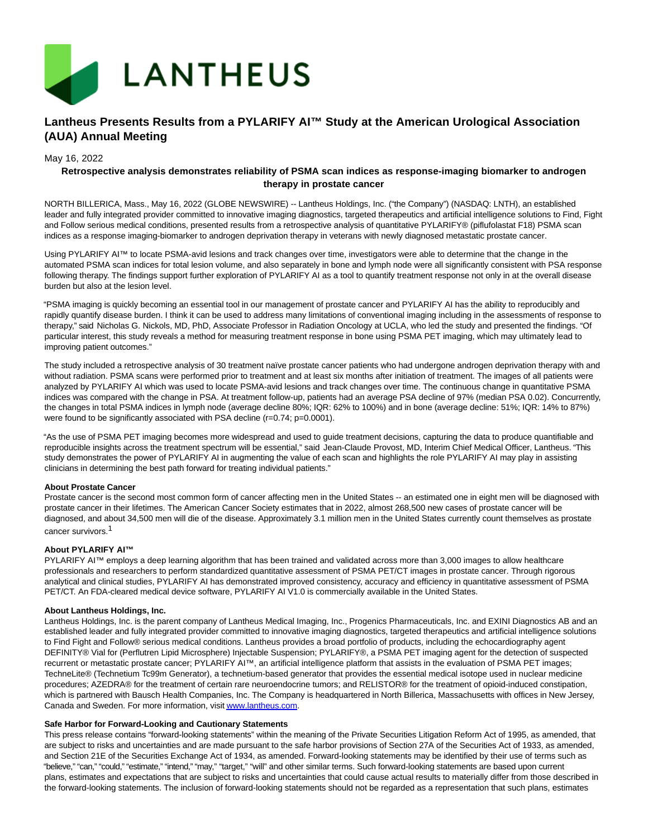

# **Lantheus Presents Results from a PYLARIFY AI™ Study at the American Urological Association (AUA) Annual Meeting**

### May 16, 2022

## **Retrospective analysis demonstrates reliability of PSMA scan indices as response-imaging biomarker to androgen therapy in prostate cancer**

NORTH BILLERICA, Mass., May 16, 2022 (GLOBE NEWSWIRE) -- Lantheus Holdings, Inc. ("the Company") (NASDAQ: LNTH), an established leader and fully integrated provider committed to innovative imaging diagnostics, targeted therapeutics and artificial intelligence solutions to Find, Fight and Follow serious medical conditions, presented results from a retrospective analysis of quantitative PYLARIFY® (piflufolastat F18) PSMA scan indices as a response imaging-biomarker to androgen deprivation therapy in veterans with newly diagnosed metastatic prostate cancer.

Using PYLARIFY AI™ to locate PSMA-avid lesions and track changes over time, investigators were able to determine that the change in the automated PSMA scan indices for total lesion volume, and also separately in bone and lymph node were all significantly consistent with PSA response following therapy. The findings support further exploration of PYLARIFY AI as a tool to quantify treatment response not only in at the overall disease burden but also at the lesion level.

"PSMA imaging is quickly becoming an essential tool in our management of prostate cancer and PYLARIFY AI has the ability to reproducibly and rapidly quantify disease burden. I think it can be used to address many limitations of conventional imaging including in the assessments of response to therapy," said Nicholas G. Nickols, MD, PhD, Associate Professor in Radiation Oncology at UCLA, who led the study and presented the findings. "Of particular interest, this study reveals a method for measuring treatment response in bone using PSMA PET imaging, which may ultimately lead to improving patient outcomes."

The study included a retrospective analysis of 30 treatment naïve prostate cancer patients who had undergone androgen deprivation therapy with and without radiation. PSMA scans were performed prior to treatment and at least six months after initiation of treatment. The images of all patients were analyzed by PYLARIFY AI which was used to locate PSMA-avid lesions and track changes over time. The continuous change in quantitative PSMA indices was compared with the change in PSA. At treatment follow-up, patients had an average PSA decline of 97% (median PSA 0.02). Concurrently, the changes in total PSMA indices in lymph node (average decline 80%; IQR: 62% to 100%) and in bone (average decline: 51%; IQR: 14% to 87%) were found to be significantly associated with PSA decline (r=0.74; p=0.0001).

"As the use of PSMA PET imaging becomes more widespread and used to guide treatment decisions, capturing the data to produce quantifiable and reproducible insights across the treatment spectrum will be essential," said Jean-Claude Provost, MD, Interim Chief Medical Officer, Lantheus. "This study demonstrates the power of PYLARIFY AI in augmenting the value of each scan and highlights the role PYLARIFY AI may play in assisting clinicians in determining the best path forward for treating individual patients."

#### **About Prostate Cancer**

Prostate cancer is the second most common form of cancer affecting men in the United States -- an estimated one in eight men will be diagnosed with prostate cancer in their lifetimes. The American Cancer Society estimates that in 2022, almost 268,500 new cases of prostate cancer will be diagnosed, and about 34,500 men will die of the disease. Approximately 3.1 million men in the United States currently count themselves as prostate cancer survivors.1

#### **About PYLARIFY AI™**

PYLARIFY AI™ employs a deep learning algorithm that has been trained and validated across more than 3,000 images to allow healthcare professionals and researchers to perform standardized quantitative assessment of PSMA PET/CT images in prostate cancer. Through rigorous analytical and clinical studies, PYLARIFY AI has demonstrated improved consistency, accuracy and efficiency in quantitative assessment of PSMA PET/CT. An FDA-cleared medical device software, PYLARIFY AI V1.0 is commercially available in the United States.

#### **About Lantheus Holdings, Inc.**

Lantheus Holdings, Inc. is the parent company of Lantheus Medical Imaging, Inc., Progenics Pharmaceuticals, Inc. and EXINI Diagnostics AB and an established leader and fully integrated provider committed to innovative imaging diagnostics, targeted therapeutics and artificial intelligence solutions to Find Fight and Follow® serious medical conditions. Lantheus provides a broad portfolio of products, including the echocardiography agent DEFINITY® Vial for (Perflutren Lipid Microsphere) Injectable Suspension; PYLARIFY®, a PSMA PET imaging agent for the detection of suspected recurrent or metastatic prostate cancer; PYLARIFY AI™, an artificial intelligence platform that assists in the evaluation of PSMA PET images; TechneLite® (Technetium Tc99m Generator), a technetium-based generator that provides the essential medical isotope used in nuclear medicine procedures; AZEDRA® for the treatment of certain rare neuroendocrine tumors; and RELISTOR® for the treatment of opioid-induced constipation, which is partnered with Bausch Health Companies, Inc. The Company is headquartered in North Billerica, Massachusetts with offices in New Jersey, Canada and Sweden. For more information, visi[t www.lantheus.com.](https://www.globenewswire.com/Tracker?data=PDB2F3z-bm4M08D6DjHBHNU1n-EU9QM5SRbA-Yp0G2wsoJNth0b1RoVx3_202x3RtE3bsPMo0EFuK5KmKDGejg==)

#### **Safe Harbor for Forward-Looking and Cautionary Statements**

This press release contains "forward-looking statements" within the meaning of the Private Securities Litigation Reform Act of 1995, as amended, that are subject to risks and uncertainties and are made pursuant to the safe harbor provisions of Section 27A of the Securities Act of 1933, as amended, and Section 21E of the Securities Exchange Act of 1934, as amended. Forward-looking statements may be identified by their use of terms such as "believe," "can," "could," "estimate," "intend," "may," "target," "will" and other similar terms. Such forward-looking statements are based upon current plans, estimates and expectations that are subject to risks and uncertainties that could cause actual results to materially differ from those described in the forward-looking statements. The inclusion of forward-looking statements should not be regarded as a representation that such plans, estimates